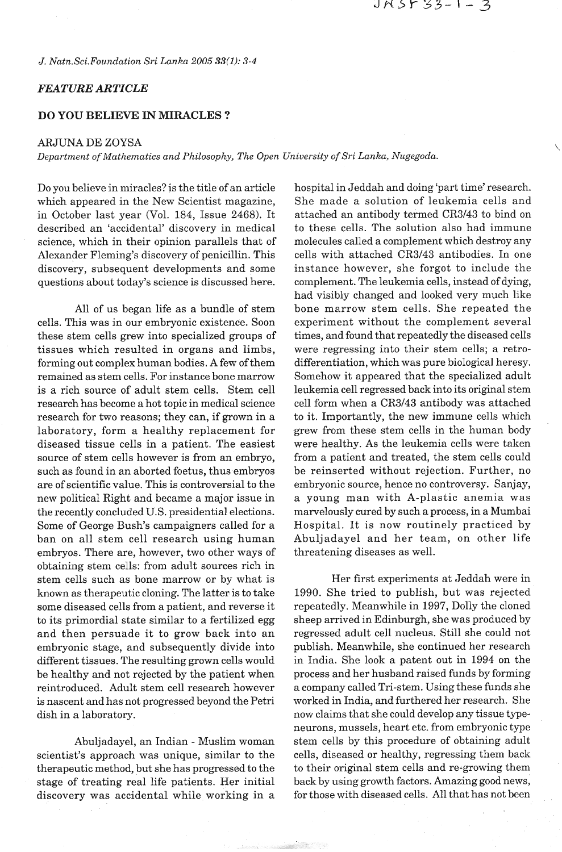## JNS533-1-3

*J. Natn.Sci.Foundation Sri Lanka 2005 33(1): 3-4* 

## *FEATURE ARTICLE*

## **DO YOU BELIEVE IN MIRACLES** ?

## ARJUNA DE ZOYSA

*Department of Mathematics and Philosophy, The Open University of Sri Lanka, Nugegoda.* 

Do you believe in miracles? is the title of an article which appeared in the New Scientist magazine, in October last year (Vol. 184, Issue 2468). It described an 'accidental' discovery in medical science, which in their opinion parallels that of Alexander Fleming's discovery of penicillin. This discovery, subsequent developments and some questions about today's science is discussed here.

All of us began life as a bundle of stem cells. This was in our embryonic existence. Soon these stem cells grew into specialized groups of tissues which resulted in organs and limbs, forming out complex human bodies. A few of them remained as stem cells. For instance bone marrow is a rich source of adult stem cells. Stem cell research has become a hot topic in medical science research for two reasons; they can, if grown in a laboratory, form a healthy replacement for diseased tissue cells in a patient. The easiest source of stem cells however is from an embryo, such as found in an aborted foetus, thus embryos are of scientific value. This is controversial to the new political Right and became a major issue in the recently concluded U.S. presidential elections. Some of George Bush's campaigners called for a ban on all stem cell research using human embryos. There are, however, two other ways of obtaining stem cells: from adult sources rich in stem cells such as bone marrow or by what is known as therapeutic cloning. The latter is to take some diseased cells from a patient, and reverse it to its primordial state similar to a fertilized egg and then persuade it to grow back into an embryonic stage, and subsequently divide into different tissues. The resulting grown cells would be healthy and not rejected by the patient when reintroduced. Adult stem cell research however is nascent and has not progressed beyond the Petri dish in a laboratory.

Abuljadayel, an Indian - Muslim woman scientist's approach was unique, similar to the therapeutic method, but she has progressed to the stage of treating real life patients. Her initial discovery was accidental while working in a

hospital in Jeddah and doing 'part time' research. She made a solution of leukemia cells and attached an antibody termed CR3143 to bind on to these cells. The solution also had immune molecules called a complement which destroy any cells with attached CR3143 antibodies. In one instance however, she forgot to include the complement. The leukemia cells, instead of dying, had visibly changed and looked very much like bone marrow stem cells. She repeated the experiment without the complement several times, and found that repeatedly the diseased cells were regressing into their stem cells; a retrodifferentiation, which was pure biological heresy. Somehow it appeared that the specialized adult leukemia cell regressed back into its original stem cell form when a CR3143 antibody was attached to it. Importantly, the new immune cells which grew from these stem cells in the human body were healthy. As the leukemia cells were taken from a patient and treated, the stem cells could be reinserted without rejection. Further, no embryonic source, hence no controversy. Sanjay, a young man with A-plastic anemia was marvelously cured by such a process, in a Mumbai Hospital. It is now routinely practiced by Abuljadayel and her team, on other life threatening diseases as well.

Her first experiments at Jeddah were in 1990. She tried to publish, but was rejected repeatedly. Meanwhile in 1997, Dolly the cloned sheep arrived in Edinburgh, she was produced by regressed adult cell nucleus. Still she could not publish. Meanwhile, she continued her research in India. She look a patent out in 1994 on the process and her husband raised funds by forming a company called Tri-stem. Using these funds she worked in India, and furthered her research. She now claims that she could develop any tissue typeneurons, mussels, heart etc. from embryonic type stem cells by this procedure of obtaining adult cells, diseased or healthy, regressing them back to their original stem cells and re-growing them back by using growth factors. Amazing good news, for those with diseased cells. All that has not been